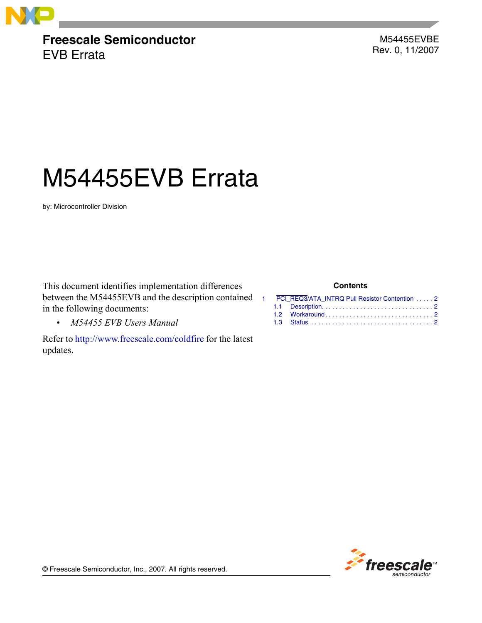

### **Freescale Semiconductor** EVB Errata

 M54455EVBE Rev. 0, 11/2007

# M54455EVB Errata

by: Microcontroller Division

This document identifies implementation differences between the M54455EVB and the description contained 1 in the following documents:

• *M54455 EVB Users Manual*

Refer to<http://www.freescale.com/coldfire> for the latest updates.

### **Contents**

| 1 PCI REQ3/ATA_INTRQ Pull Resistor Contention  2 |  |  |
|--------------------------------------------------|--|--|
|                                                  |  |  |
|                                                  |  |  |
|                                                  |  |  |

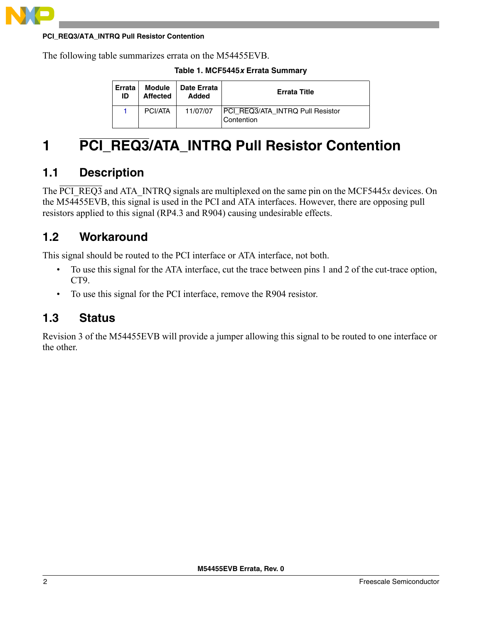

### **PCI\_REQ3/ATA\_INTRQ Pull Resistor Contention**

The following table summarizes errata on the M54455EVB.

**Table 1. MCF5445***x* **Errata Summary**

| <b>Errata</b> | Module          | Date Errata | <b>Errata Title</b>                                   |
|---------------|-----------------|-------------|-------------------------------------------------------|
| ID            | <b>Affected</b> | Added       |                                                       |
|               | PCI/ATA         | 11/07/07    | <b>PCI REQ3/ATA INTRQ Pull Resistor</b><br>Contention |

## <span id="page-1-0"></span>**1 PCI\_REQ3/ATA\_INTRQ Pull Resistor Contention**

### <span id="page-1-1"></span>**1.1 Description**

The PCI\_REQ3 and ATA\_INTRQ signals are multiplexed on the same pin on the MCF5445*x* devices. On the M54455EVB, this signal is used in the PCI and ATA interfaces. However, there are opposing pull resistors applied to this signal (RP4.3 and R904) causing undesirable effects.

### **1.2 Workaround**

This signal should be routed to the PCI interface or ATA interface, not both.

- To use this signal for the ATA interface, cut the trace between pins 1 and 2 of the cut-trace option, CT9.
- To use this signal for the PCI interface, remove the R904 resistor.

### <span id="page-1-2"></span>**1.3 Status**

Revision 3 of the M54455EVB will provide a jumper allowing this signal to be routed to one interface or the other.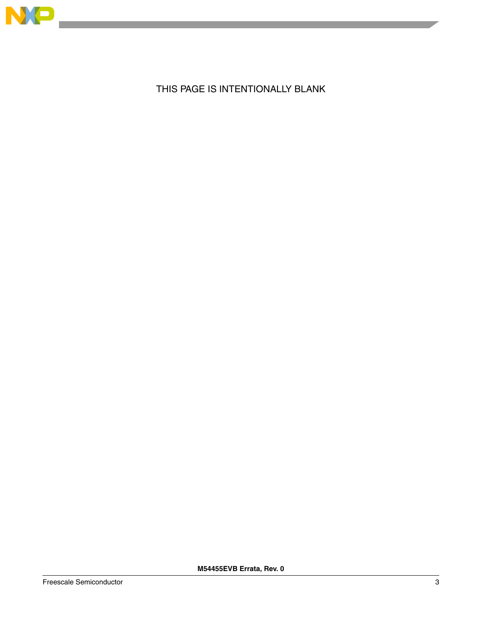

THIS PAGE IS INTENTIONALLY BLANK